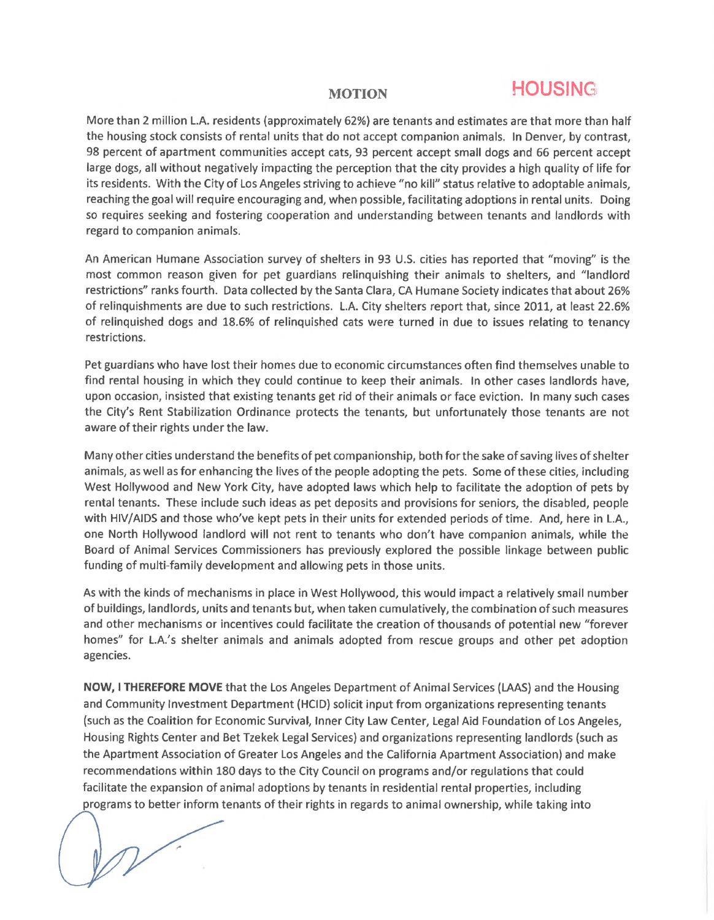## **MOTION HOUSING**

More than 2 million L.A. residents (approximately 62%) are tenants and estimates are that more than half the housing stock consists of rental units that do not accept companion animals. In Denver, by contrast, 98 percent of apartment communities accept cats, 93 percent accept small dogs and 66 percent accept large dogs, all without negatively impacting the perception that the city provides <sup>a</sup> high quality of life for its residents. With the City of Los Angeles striving to achieve "no kill" status relative to adoptable animals, reaching the goal will require encouraging and, when possible, facilitating adoptions in rental units. Doing so requires seeking and fostering cooperation and understanding between tenants and landlords with regard to companion animals.

An American Humane Association survey of shelters in 93 U.S. cities has reported that "moving" is the most common reason given for pet guardians relinquishing their animals to shelters, and "landlord restrictions" ranks fourth. Data collected by the Santa Clara, CA Humane Society indicates that about 26% of relinquishments are due to such restrictions. L.A. City shelters report that, since 2011, at least 22.6% of relinquished dogs and 18.6% of relinquished cats were turned in due to issues relating to tenancy restrictions.

Pet guardians who have lost their homes due to economic circumstances often find themselves unable to find rental housing in which they could continue to keep their animals. In other cases landlords have, upon occasion, insisted that existing tenants get rid of their animals or face eviction. In many such cases the City's Rent Stabilization Ordinance protects the tenants, but unfortunately those tenants are not aware of their rights under the law.

Many other cities understand the benefits of pet companionship, both forthe sake of saving lives of shelter animals, as well as for enhancing the lives of the people adopting the pets. Some of these cities, including West Hollywood and New York City, have adopted laws which help to facilitate the adoption of pets by rental tenants. These include such ideas as pet deposits and provisions for seniors, the disabled, people with HIV/AIDS and those who've kept pets in their units for extended periods of time. And, here in L.A., one North Hollywood landlord will not rent to tenants who don't have companion animals, while the Board of Animal Services Commissioners has previously explored the possible linkage between public funding of multi-family development and allowing pets in those units.

As with the kinds of mechanisms in place in West Hollywood, this would impact a relatively small number of buildings, landlords, units and tenants but, when taken cumulatively, the combination of such measures and other mechanisms or incentives could facilitate the creation of thousands of potential new "forever homes" for L.A.'s shelter animals and animals adopted from rescue groups and other pet adoption agencies.

**NOW, <sup>I</sup> THEREFORE MOVE** that the Los Angeles Department of Animal Services (LAAS) and the Housing and Community Investment Department (HCID) solicit input from organizations representing tenants (such as the Coalition for Economic Survival, Inner City Law Center, Legal Aid Foundation of Los Angeles, Housing Rights Center and Bet Tzekek Legal Services) and organizations representing landlords (such as the Apartment Association of Greater Los Angeles and the California Apartment Association) and make recommendations within 180 days to the City Council on programs and/or regulations that could facilitate the expansion of animal adoptions by tenants in residential rental properties, including programs to better inform tenants of their rights in regards to animal ownership, while taking into